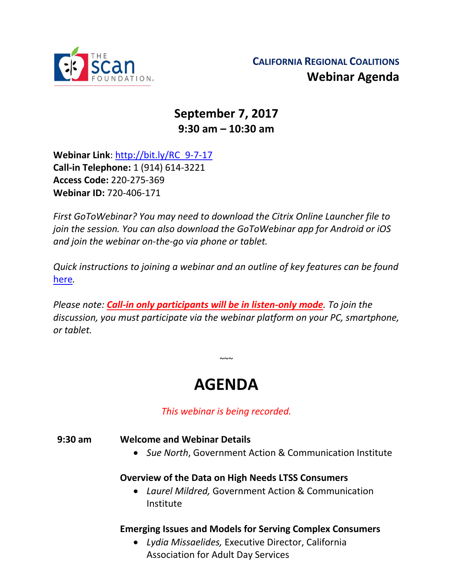

## **September 7, 2017 9:30 am – 10:30 am**

**Webinar Link**: [http://bit.ly/RC\\_9-7-17](http://bit.ly/RC_9-7-17) **Call-in Telephone:** 1 (914) 614-3221 **Access Code:** 220-275-369 **Webinar ID:** 720-406-171

*First GoToWebinar? You may need to download the Citrix Online Launcher file to join the session. You can also download the GoToWebinar app for Android or iOS and join the webinar on-the-go via phone or tablet.* 

*Quick instructions to joining a webinar and an outline of key features can be found*  [here](http://thescanfoundationsummit.homestead.com/GoToWebinar_Participant_Guide_3.pdf)*.*

*Please note: Call-in only participants will be in listen-only mode. To join the discussion, you must participate via the webinar platform on your PC, smartphone, or tablet.* 

# **AGENDA**

 $\sim$   $\sim$ 

*This webinar is being recorded.*

#### **9:30 am Welcome and Webinar Details**

• *Sue North*, Government Action & Communication Institute

#### **Overview of the Data on High Needs LTSS Consumers**

• *Laurel Mildred,* Government Action & Communication Institute

#### **Emerging Issues and Models for Serving Complex Consumers**

• *Lydia Missaelides,* Executive Director, California Association for Adult Day Services